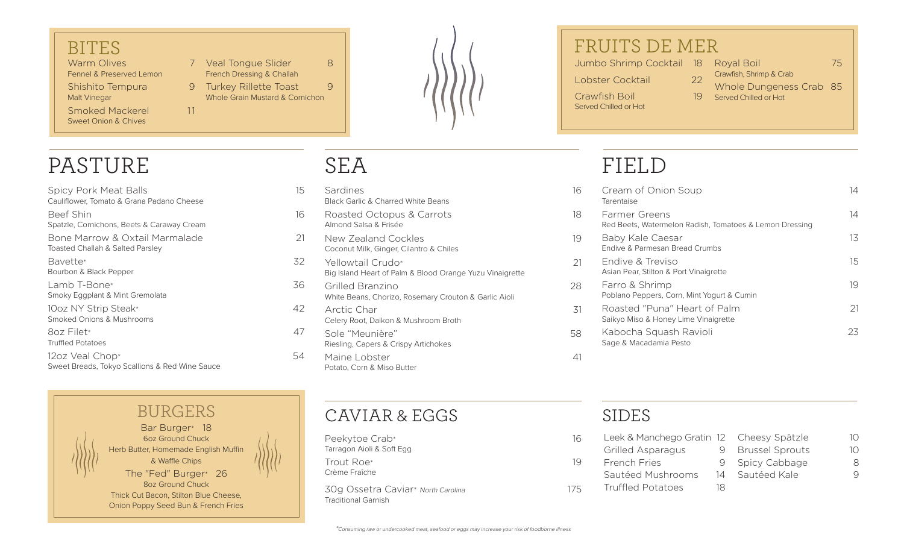#### BITES

Warm Olives Fennel & Preserved Lemon Shishito Tempura 9 Malt Vinegar

Smoked Mackerel 11 Sweet Onion & Chives

7 Veal Tonque Slider 8 French Dressing & Challah 9 Turkey Rillette Toast 9

Whole Grain Mustard & Cornichon



# PASTURE

Spicy Pork Meat Balls 15 Cauliflower, Tomato & Grana Padano Cheese

Beef Shin 16 Spatzle, Cornichons, Beets & Caraway Cream

Bone Marrow & Oxtail Marmalade 21 Toasted Challah & Salted Parsley

Bavette\* 32 Bourbon & Black Pepper

Lamb T-Bone\* 36 Smoky Eggplant & Mint Gremolata

10oz NY Strip Steak\* 42 Smoked Onions & Mushrooms

8oz Filet\* 47 Truffled Potatoes

12oz Veal Chop\* 54 Sweet Breads, Tokyo Scallions & Red Wine Sauce

### Bar Burger\* 18 6oz Ground Chuck BURGERS

Herb Butter, Homemade English Muffin & Waffle Chips The "Fed" Burger\* 26 8oz Ground Chuck Thick Cut Bacon, Stilton Blue Cheese,

Onion Poppy Seed Bun & French Fries

# SEA

- Sardines Black Garlic & Charred White Beans
- Roasted Octopus & Carrots Almond Salsa & Frisée
- New Zealand Cockles Coconut Milk, Ginger, Cilantro & Chiles
- Yellowtail Crudo\* Big Island Heart of Palm & Blood Orange Yuzu Vinaigrette
- Grilled Branzino White Beans, Chorizo, Rosemary Crouton & Garlic Aioli
- Arctic Char Celery Root, Daikon & Mushroom Broth
- Sole "Meunière" 68 a 1990 et de la second de la second de la second de la second de la second de la second de Riesling, Capers & Crispy Artichokes
- Maine Lobster 41 Potato, Corn & Miso Butter



Peekytoe Crab\* 16 Tarragon Aioli & Soft Egg Trout Roe\* 19 Crème Fraîche

30g Ossetra Caviar\* North Carolina 175 Traditional Garnish

## FRUITS DE MER

Jumbo Shrimp Cocktail 18 Royal Boil 75

Lobster Cocktail 22

Served Chilled or Hot

- Crawfish Boil 19
- Crawfish, Shrimp & Crab
	- Whole Dungeness Crab 85 Served Chilled or Hot

# FIELD

| 16 | Cream of Onion Soup<br>Tarentaise                                        | 14 |
|----|--------------------------------------------------------------------------|----|
| 18 | Farmer Greens<br>Red Beets, Watermelon Radish, Tomatoes & Lemon Dressing | 14 |
| 19 | Baby Kale Caesar<br>Endive & Parmesan Bread Crumbs                       | 13 |
| 21 | Endive & Treviso<br>Asian Pear, Stilton & Port Vinaigrette               | 15 |
| 28 | Farro & Shrimp<br>Poblano Peppers, Corn, Mint Yogurt & Cumin             | 19 |
| 31 | Roasted "Puna" Heart of Palm<br>Saikyo Miso & Honey Lime Vinaigrette     | 21 |
| 58 | Kabocha Squash Ravioli<br>Sage & Macadamia Pesto                         | 23 |
|    |                                                                          |    |



|    | $\overline{1}$ ()                                                                                  |
|----|----------------------------------------------------------------------------------------------------|
|    | $\overline{1}$ ()                                                                                  |
|    | 8                                                                                                  |
| 14 | Ч                                                                                                  |
| 18 |                                                                                                    |
|    | Leek & Manchego Gratin 12 Cheesy Spätzle<br>9 Brussel Sprouts<br>9 Spicy Cabbage<br>– Sautéed Kale |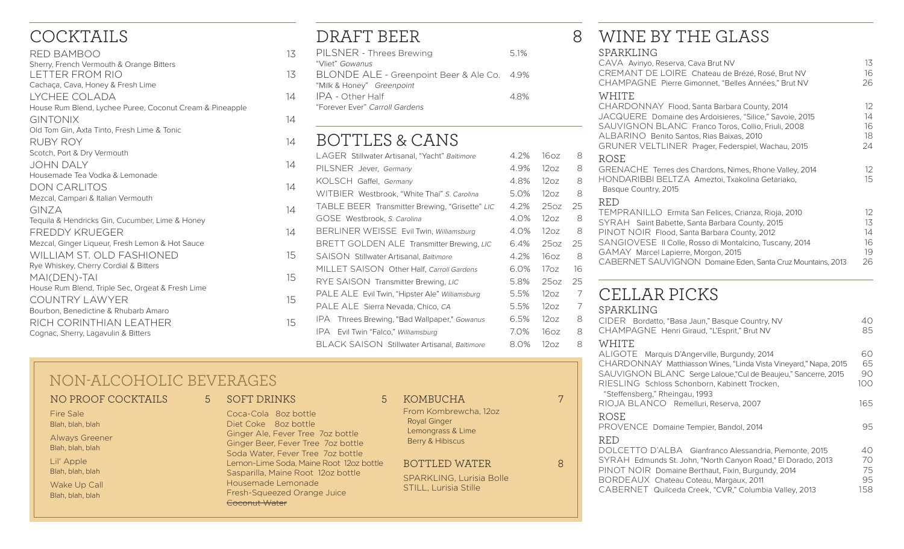## COCKTAILS

| RED BAMBOO                                               | 13 |
|----------------------------------------------------------|----|
| Sherry, French Vermouth & Orange Bitters                 |    |
| LETTER FROM RIO                                          | 13 |
| Cachaça, Cava, Honey & Fresh Lime                        |    |
| I YCHEE COLADA                                           | 14 |
| House Rum Blend, Lychee Puree, Coconut Cream & Pineapple |    |
| <b>GINTONIX</b>                                          | 14 |
| Old Tom Gin, Axta Tinto, Fresh Lime & Tonic              |    |
| <b>RUBY ROY</b>                                          | 14 |
| Scotch, Port & Dry Vermouth                              |    |
| <b>JOHN DALY</b>                                         | 14 |
| Housemade Tea Vodka & Lemonade                           |    |
| <b>DON CARLITOS</b>                                      | 14 |
| Mezcal, Campari & Italian Vermouth                       |    |
| GINZA                                                    | 14 |
| Tequila & Hendricks Gin, Cucumber, Lime & Honey          |    |
| FREDDY KRUFGER                                           | 14 |
| Mezcal, Ginger Liqueur, Fresh Lemon & Hot Sauce          |    |
| <b>WILLIAM ST. OLD FASHIONED</b>                         | 15 |
| Rye Whiskey, Cherry Cordial & Bitters                    |    |
| MAI(DEN)-TAI                                             | 15 |
| House Rum Blend, Triple Sec, Orgeat & Fresh Lime         |    |
| COUNTRY LAWYER                                           | 15 |
| Bourbon, Benedictine & Rhubarb Amaro                     |    |
| RICH CORINTHIAN I FATHER                                 | 15 |
| Cognac, Sherry, Lagavulin & Bitters                      |    |

## DRAFT BEER 8

| PILSNER - Threes Brewing                    | 5.1% |
|---------------------------------------------|------|
| "Vliet" Gowanus                             |      |
| BLONDE ALE - Greenpoint Beer & Ale Co. 4.9% |      |
| "Milk & Honey" Greenpoint                   |      |
| IPA - Other Half                            | 48%  |
| "Forever Ever" Carroll Gardens              |      |
|                                             |      |

#### BOTTLES & CANS

|    | LAGER Stillwater Artisanal, "Yacht" Baltimore  | 4.2% | 16oz             | 8  |
|----|------------------------------------------------|------|------------------|----|
| 14 | PILSNER Jever, Germany                         | 4.9% | 12oz             | 8  |
|    | KOLSCH Gaffel, Germany                         | 4.8% | 12oz             | 8  |
| 14 | WITBIER Westbrook, "White Thai" S. Carolina    | 5.0% | 12oz             | 8  |
| 14 | TABLE BEER Transmitter Brewing, "Grisette" LIC | 4.2% | 25oz             | 25 |
|    | GOSE Westbrook, S. Carolina                    | 4.0% | 12oz             | 8  |
| 14 | BERLINER WEISSE Evil Twin, Williamsburg        | 4.0% | 12oz             | 8  |
|    | BRETT GOLDEN ALE Transmitter Brewing, LIC      | 6.4% | 25oz             | 25 |
| 15 | SAISON Stillwater Artisanal, Baltimore         | 4.2% | 16 <sub>oz</sub> | 8  |
|    | MILLET SAISON Other Half, Carroll Gardens      | 6.0% | 17 <sub>oz</sub> | 16 |
| 15 | RYE SAISON Transmitter Brewing, LIC            | 5.8% | 25oz             | 25 |
| 15 | PALE ALE Evil Twin, "Hipster Ale" Williamsburg | 5.5% | 12oz             | 7  |
|    | PALE ALE Sierra Nevada, Chico, CA              | 5.5% | 12oz             | 7  |
| 15 | IPA Threes Brewing, "Bad Wallpaper," Gowanus   | 6.5% | 12oz             | 8  |
|    | IPA.<br>Evil Twin "Falco," Williamsburg        | 7.0% | 16oz             | 8  |
|    | BLACK SAISON Stillwater Artisanal, Baltimore   | 8.0% | 12oz             | 8  |

### NON-ALCOHOLIC BEVERAGES

#### NO PROOF COCKTAILS 5

Fire Sale Blah, blah, blah

Always Greener Blah, blah, blah Lil' Apple

Blah, blah, blah

Wake Up Call Blah, blah, blah

#### SOFT DRINKS 5

 Ginger Ale, Fever Tree 7oz bottle Coca-Cola 8oz bottle Diet Coke 8oz bottle Ginger Beer, Fever Tree 7oz bottle Soda Water, Fever Tree 7oz bottle Lemon-Lime Soda, Maine Root 12oz bottle Sasparilla, Maine Root 12oz bottle Housemade Lemonade Fresh-Squeezed Orange Juice Coconut Water

#### KOMBUCHA 7

From Kombrewcha, 12oz Royal Ginger Lemongrass & Lime Berry & Hibiscus

BOTTLED WATER 8

SPARKLING, Lurisia Bolle STILL, Lurisia Stille

### WINE BY THE GLASS

| SPARKLING<br>CAVA Avinyo, Reserva, Cava Brut NV<br>CREMANT DE LOIRE Chateau de Brézé, Rosé, Brut NV<br>CHAMPAGNE Pierre Gimonnet, "Belles Années," Brut NV                                                                                                                                                                             | 13<br>16<br>26                   |
|----------------------------------------------------------------------------------------------------------------------------------------------------------------------------------------------------------------------------------------------------------------------------------------------------------------------------------------|----------------------------------|
| WHITE<br>CHARDONNAY Flood, Santa Barbara County, 2014<br>JACQUERE Domaine des Ardoisieres, "Silice," Savoie, 2015<br>SAUVIGNON BLANC Franco Toros, Collio, Friuli, 2008<br>ALBARINO Benito Santos, Rias Baixas, 2010<br>GRUNER VELTLINER Prager, Federspiel, Wachau, 2015                                                              | 12<br>14<br>16<br>18<br>24       |
| ROSE<br>GRENACHE Terres des Chardons, Nimes, Rhone Valley, 2014<br>HONDARIBBI BELTZA Ameztoi, Txakolina Getariako,<br>Basque Country, 2015                                                                                                                                                                                             | 12<br>15                         |
| <b>RED</b><br>TEMPRANILLO Ermita San Felices, Crianza, Rioja, 2010<br>SYRAH Saint Babette, Santa Barbara County, 2015<br>PINOT NOIR Flood, Santa Barbara County, 2012<br>SANGIOVESE II Colle, Rosso di Montalcino, Tuscany, 2014<br>GAMAY Marcel Lapierre, Morgon, 2015<br>CABERNET SAUVIGNON Domaine Eden, Santa Cruz Mountains, 2013 | 12<br>13<br>14<br>16<br>19<br>26 |
| CELLAR PICKS                                                                                                                                                                                                                                                                                                                           |                                  |
| SPARKLING<br>CIDER Bordatto, "Basa Jaun," Basque Country, NV<br>CHAMPAGNE Henri Giraud, "L'Esprit," Brut NV                                                                                                                                                                                                                            | 40<br>85                         |
| WHITE<br>ALIGOTE Marquis D'Angerville, Burgundy, 2014<br>CHARDONNAY Matthiasson Wines, "Linda Vista Vineyard," Napa, 2015<br>SAUVIGNON BLANC Serge Laloue, "Cul de Beaujeu," Sancerre, 2015<br>RIESLING Schloss Schonborn, Kabinett Trocken,                                                                                           | 60<br>65<br>90<br>100            |
| "Steffensberg," Rheingau, 1993<br>RIOJA BLANCO Remelluri, Reserva, 2007                                                                                                                                                                                                                                                                | 165                              |

ROSE PROVENCE Domaine Tempier, Bandol, 2014 **1998** 1995 RED DOLCETTO D'ALBA Gianfranco Alessandria, Piemonte, 2015 40 SYRAH Edmunds St. John, "North Canyon Road," El Dorado, 2013 70<br>PINOT NOIR Domaine Berthaut. Fixin. Burgundy. 2014 75 PINOT NOIR Domaine Berthaut, Fixin, Burgundy, 2014 75<br>BORDEAUX Chateau Coteau Margaux 2011 95 BORDEAUX Chateau Coteau, Margaux, 2011 95 CABERNET Quilceda Creek, "CVR," Columbia Valley, 2013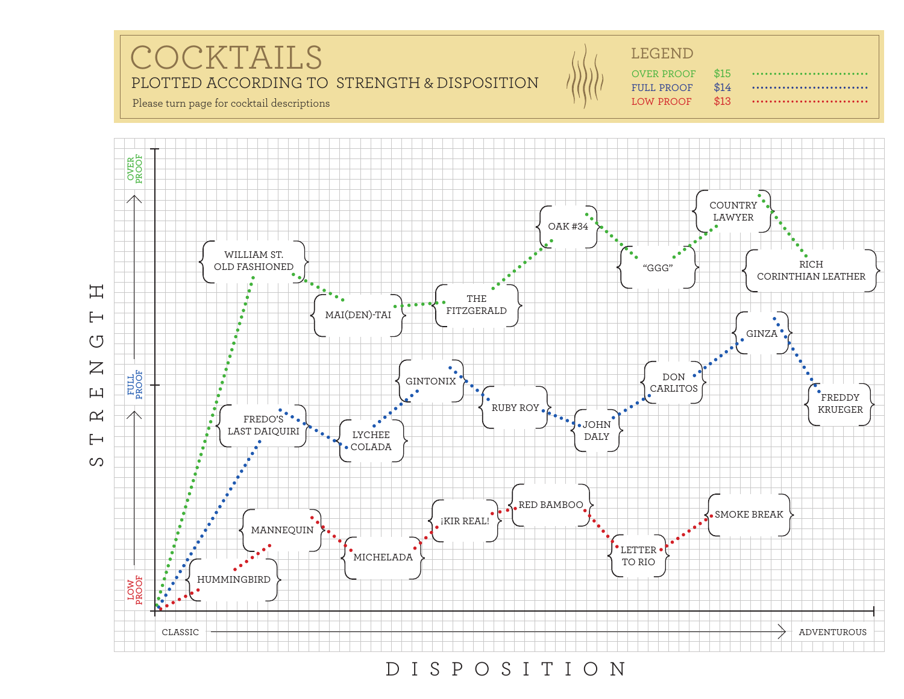



DISPOSITION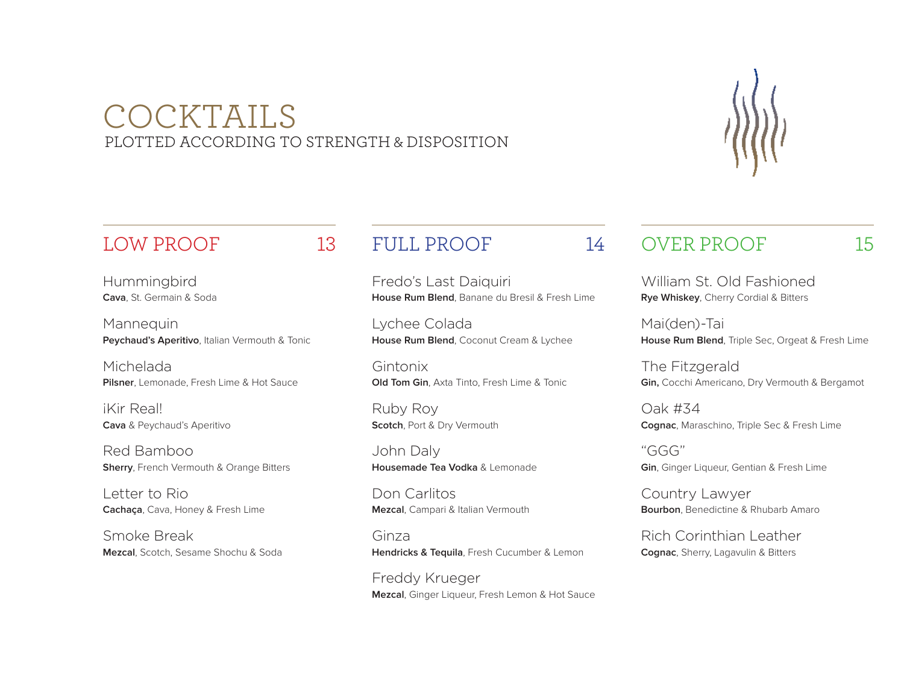## COCKTAILS PLOTTED ACCORDING TO STRENGTH & DISPOSITION



Hummingbird **Cava**, St. Germain & Soda

Mannequin **Peychaud's Aperitivo**, Italian Vermouth & Tonic

Michelada **Pilsner**, Lemonade, Fresh Lime & Hot Sauce

¡Kir Real! **Cava** & Peychaud's Aperitivo

Red Bamboo **Sherry**, French Vermouth & Orange Bitters

Letter to Rio **Cachaça**, Cava, Honey & Fresh Lime

Smoke Break **Mezcal**, Scotch, Sesame Shochu & Soda

### FULL PROOF 14

Fredo's Last Daiquiri **House Rum Blend**, Banane du Bresil & Fresh Lime

Lychee Colada **House Rum Blend**, Coconut Cream & Lychee

Gintonix **Old Tom Gin**, Axta Tinto, Fresh Lime & Tonic

Ruby Roy **Scotch**, Port & Dry Vermouth

John Daly **Housemade Tea Vodka** & Lemonade

Don Carlitos **Mezcal**, Campari & Italian Vermouth

Ginza **Hendricks & Tequila**, Fresh Cucumber & Lemon

Freddy Krueger **Mezcal**, Ginger Liqueur, Fresh Lemon & Hot Sauce

#### OVER PROOF 15

William St. Old Fashioned **Rye Whiskey**, Cherry Cordial & Bitters

Mai(den)-Tai **House Rum Blend**, Triple Sec, Orgeat & Fresh Lime

The Fitzgerald **Gin,** Cocchi Americano, Dry Vermouth & Bergamot

Oak #34 **Cognac**, Maraschino, Triple Sec & Fresh Lime

"GGG" **Gin**, Ginger Liqueur, Gentian & Fresh Lime

Country Lawyer **Bourbon**, Benedictine & Rhubarb Amaro

Rich Corinthian Leather **Cognac**, Sherry, Lagavulin & Bitters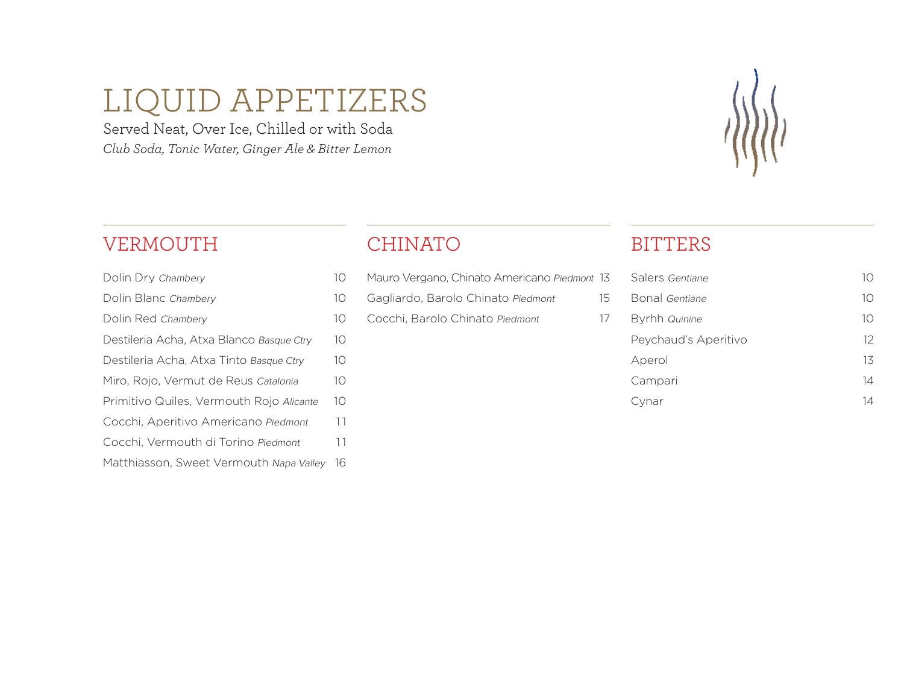# LIQUID APPETIZERS

Served Neat, Over Ice, Chilled or with Soda *Club Soda, Tonic Water, Ginger Ale & Bitter Lemon*



#### VERMOUTH

Dolin Dry Chambery 10 Dolin Blanc Chambery 10 Dolin Red Chambery 10 Destileria Acha, Atxa Blanco Basque Ctry 10 Destileria Acha, Atxa Tinto Basque Ctry 10

- Miro, Rojo, Vermut de Reus Catalonia 10
- Primitivo Quiles, Vermouth Rojo Alicante 10
- Cocchi, Aperitivo Americano Piedmont 11
- Cocchi, Vermouth di Torino Piedmont 11
- Matthiasson, Sweet Vermouth Napa Valley 16

### CHINATO

- Mauro Vergano, Chinato Americano Piedmont 13
- Gagliardo, Barolo Chinato Piedmont 15
- Cocchi, Barolo Chinato Piedmont 17

### **BITTERS**

| Salers Gentiane      | $\vert$ () |
|----------------------|------------|
| Bonal Gentiane       | 10         |
| Byrhh Quinine        | 10         |
| Peychaud's Aperitivo | 12         |
| Aperol               | 13         |
| Campari              | 14         |
| .vnar                | 14         |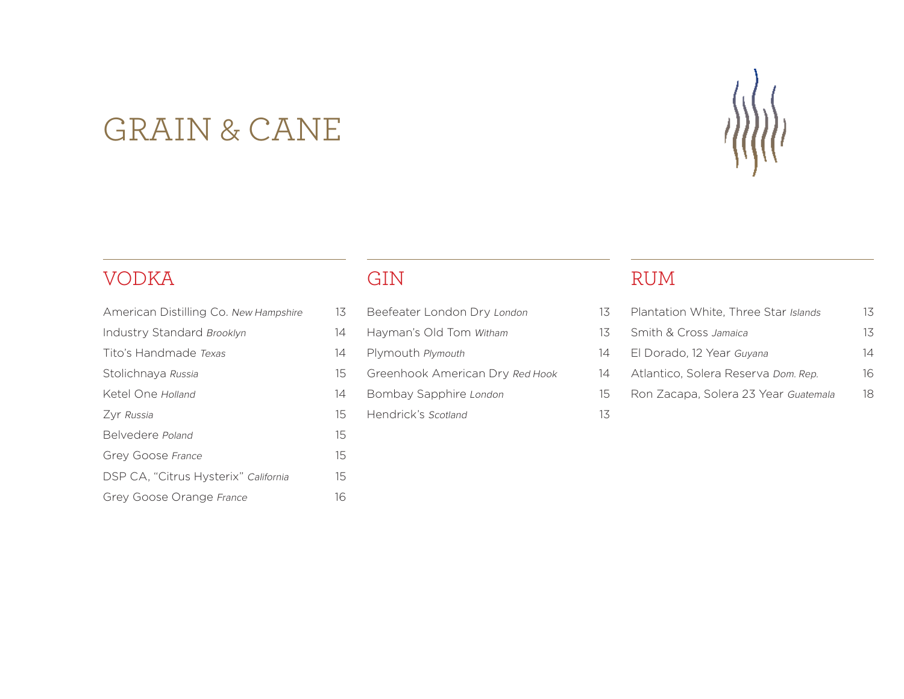# GRAIN & CANE

### VODKA

| American Distilling Co. New Hampshire | 13                          |
|---------------------------------------|-----------------------------|
| <b>Industry Standard Brooklyn</b>     | 14                          |
| Tito's Handmade Texas                 | 14                          |
| Stolichnaya Russia                    | $15 \overline{\phantom{1}}$ |
| Ketel One Holland                     | 14                          |
| Zyr Russia                            | 15                          |
| Belvedere Poland                      | $15\overline{)}$            |
| Grey Goose France                     | $15\overline{)}$            |
| DSP CA, "Citrus Hysterix" California  | 15                          |
| Grey Goose Orange France              | 16                          |

### GIN

| Beefeater London Dry London | 13 |
|-----------------------------|----|
|                             |    |

Hayman's Old Tom Witham 13

Plymouth Plymouth 14

- Greenhook American Dry Red Hook 14
- Bombay Sapphire London 15
- Hendrick's Scotland 13

### RUM

|    | Plantation White, Three Star Islands | 13. |
|----|--------------------------------------|-----|
| 3  | Smith & Cross Jamaica                | 13  |
| 4  | El Dorado, 12 Year Guyana            | 14  |
| 4  | Atlantico, Solera Reserva Dom. Rep.  | 16  |
| 5. | Ron Zacapa, Solera 23 Year Guatemala | 18. |
|    |                                      |     |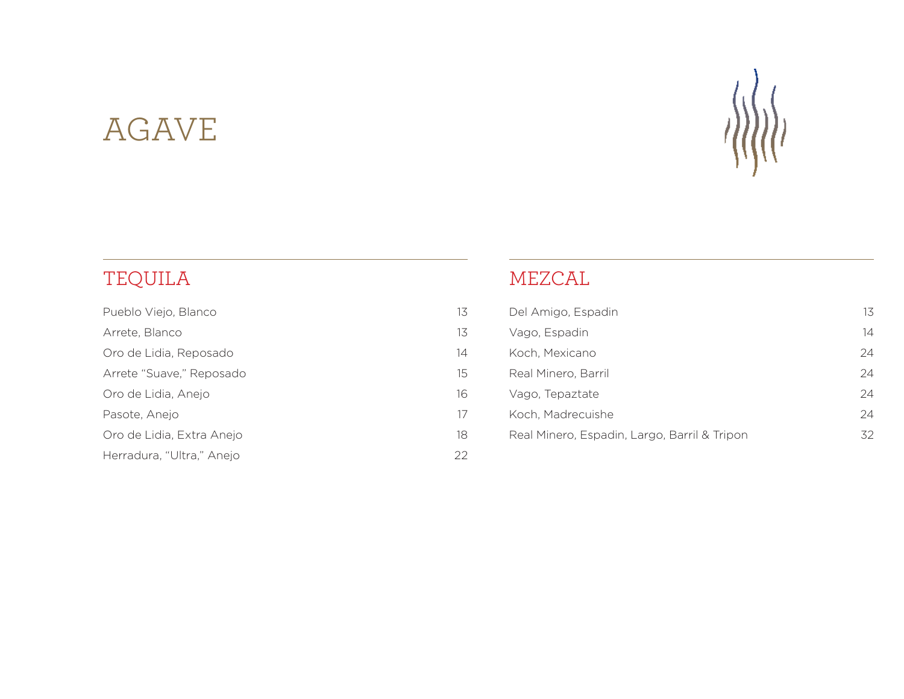# AGAVE



# TEQUILA

| Pueblo Viejo, Blanco      | 13 |
|---------------------------|----|
| Arrete, Blanco            | 13 |
| Oro de Lidia, Reposado    | 14 |
| Arrete "Suave," Reposado  | 15 |
| Oro de Lidia, Anejo       | 16 |
| Pasote, Anejo             | 17 |
| Oro de Lidia, Extra Anejo | 18 |
| Herradura, "Ultra," Anejo | 22 |
|                           |    |

### MEZCAL

| Del Amigo, Espadin                           | 13 |
|----------------------------------------------|----|
| Vago, Espadin                                | 14 |
| Koch, Mexicano                               | 24 |
| Real Minero, Barril                          | 24 |
| Vago, Tepaztate                              | 24 |
| Koch, Madrecuishe                            | 24 |
| Real Minero, Espadin, Largo, Barril & Tripon | 32 |
|                                              |    |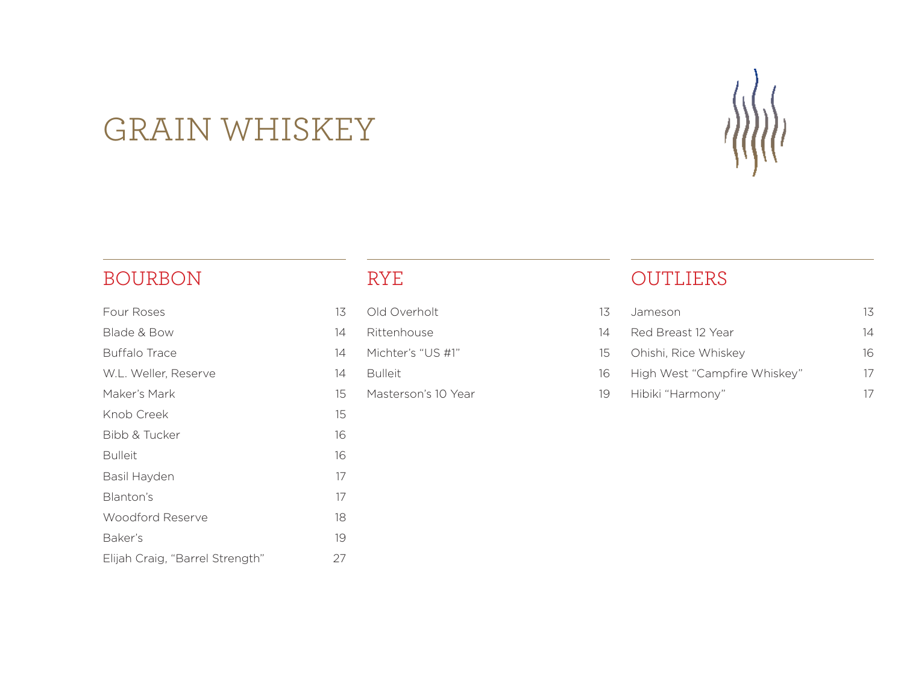

# GRAIN WHISKEY

### BOURBON

| Four Roses                      | 13 |
|---------------------------------|----|
| Blade & Bow                     | 14 |
| <b>Buffalo Trace</b>            | 14 |
| W.L. Weller, Reserve            | 14 |
| Maker's Mark                    | 15 |
| Knob Creek                      | 15 |
| Bibb & Tucker                   | 16 |
| <b>Bulleit</b>                  | 16 |
| Basil Hayden                    | 17 |
| Blanton's                       | 17 |
| Woodford Reserve                | 18 |
| Baker's                         | 19 |
| Elijah Craig, "Barrel Strength" | 27 |

### RYE

| Old Overholt | 13 |
|--------------|----|
|--------------|----|

Rittenhouse 14

- Michter's "US #1" 15
- Bulleit 16
- Masterson's 10 Year 19

### OUTLIERS

| 3 | Jameson                      | 13            |
|---|------------------------------|---------------|
| 4 | Red Breast 12 Year           | 14            |
| 5 | Ohishi, Rice Whiskey         | 16.           |
| 6 | High West "Campfire Whiskey" | $\frac{1}{2}$ |
| 9 | Hibiki "Harmony"             |               |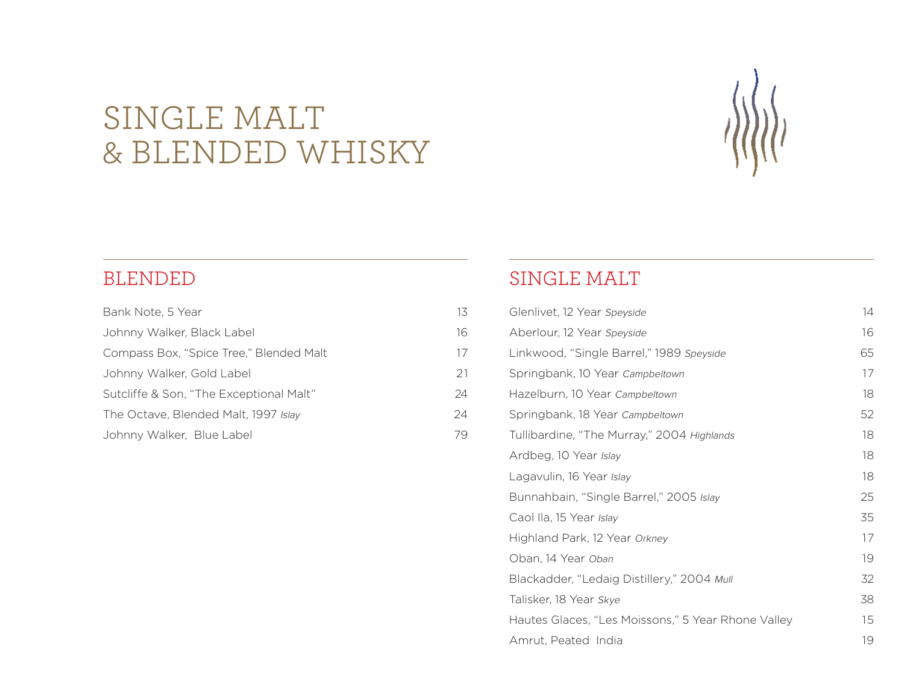# SINGLE MALT & BLENDED WHISKY



| Bank Note, 5 Year                       | 13 |
|-----------------------------------------|----|
| Johnny Walker, Black Label              | 16 |
| Compass Box, "Spice Tree," Blended Malt | 17 |
| Johnny Walker, Gold Label               | 21 |
| Sutcliffe & Son, "The Exceptional Malt" | 24 |
| The Octave, Blended Malt, 1997 Islay    | 24 |
| Johnny Walker, Blue Label               | 79 |
|                                         |    |

#### SINGLE MALT

| Glenlivet, 12 Year Speyside                        | 14 |
|----------------------------------------------------|----|
| Aberlour, 12 Year Speyside                         | 16 |
| Linkwood, "Single Barrel," 1989 Speyside           | 65 |
| Springbank, 10 Year Campbeltown                    | 17 |
| Hazelburn, 10 Year Campbeltown                     | 18 |
| Springbank, 18 Year Campbeltown                    | 52 |
| Tullibardine, "The Murray," 2004 Highlands         | 18 |
| Ardbeg, 10 Year Islay                              | 18 |
| Lagavulin, 16 Year Islay                           | 18 |
| Bunnahbain, "Single Barrel," 2005 Islay            | 25 |
| Caol Ila, 15 Year Islay                            | 35 |
| Highland Park, 12 Year Orkney                      | 17 |
| Oban, 14 Year Oban                                 | 19 |
| Blackadder, "Ledaig Distillery," 2004 Mull         | 32 |
| Talisker, 18 Year Skye                             | 38 |
| Hautes Glaces, "Les Moissons," 5 Year Rhone Valley | 15 |
| Amrut, Peated India                                | 19 |
|                                                    |    |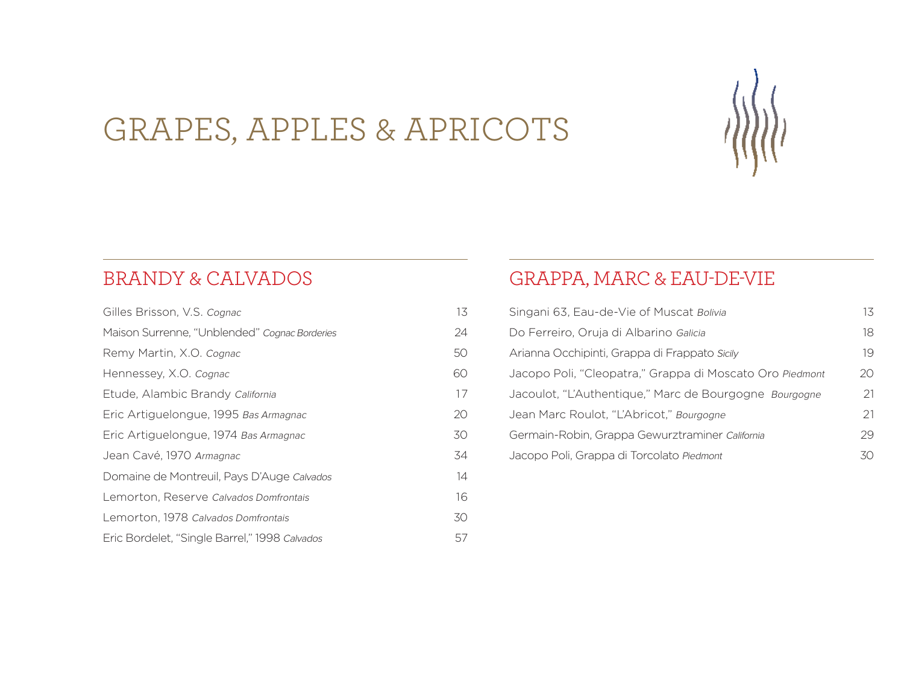

# GRAPES, APPLES & APRICOTS

### BRANDY & CALVADOS

| Gilles Brisson, V.S. Cognac                   | 13 |
|-----------------------------------------------|----|
| Maison Surrenne, "Unblended" Cognac Borderies | 24 |
| Remy Martin, X.O. Cognac                      | 50 |
| Hennessey, X.O. Cognac                        | 60 |
| Etude, Alambic Brandy California              | 17 |
| Eric Artiguelongue, 1995 Bas Armagnac         | 20 |
| Eric Artiguelongue, 1974 Bas Armagnac         | 30 |
| Jean Cavé, 1970 Armagnac                      | 34 |
| Domaine de Montreuil, Pays D'Auge Calvados    | 14 |
| Lemorton, Reserve Calvados Domfrontais        | 16 |
| Lemorton, 1978 Calvados Domfrontais           | 30 |
| Eric Bordelet, "Single Barrel," 1998 Calvados | 57 |

### GRAPPA, MARC & EAU-DE-VIE

| Singani 63, Eau-de-Vie of Muscat Bolivia                 | 13 |
|----------------------------------------------------------|----|
| Do Ferreiro, Oruja di Albarino Galicia                   | 18 |
| Arianna Occhipinti, Grappa di Frappato Sicily            | 19 |
| Jacopo Poli, "Cleopatra," Grappa di Moscato Oro Piedmont | 20 |
| Jacoulot, "L'Authentique," Marc de Bourgogne Bourgogne   | 21 |
| Jean Marc Roulot, "L'Abricot," Bourgogne                 | 21 |
| Germain-Robin, Grappa Gewurztraminer California          | 29 |
| Jacopo Poli, Grappa di Torcolato Piedmont                | 30 |
|                                                          |    |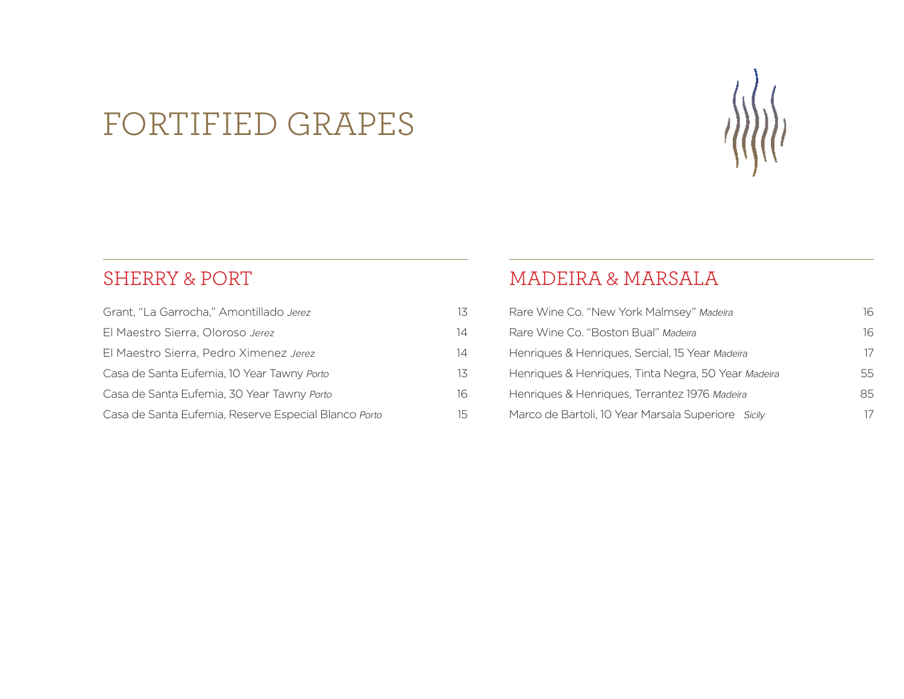# FORTIFIED GRAPES



| Grant, "La Garrocha," Amontillado Jerez              | 13 |
|------------------------------------------------------|----|
| El Maestro Sierra, Oloroso Jerez                     | 14 |
| El Maestro Sierra, Pedro Ximenez Jerez               | 14 |
| Casa de Santa Eufemia, 10 Year Tawny Porto           | 13 |
| Casa de Santa Eufemia, 30 Year Tawny Porto           | 16 |
| Casa de Santa Eufemia, Reserve Especial Blanco Porto | 15 |

### MADEIRA & MARSALA

| Rare Wine Co. "New York Malmsey" Madeira            | 16 |
|-----------------------------------------------------|----|
| Rare Wine Co. "Boston Bual" Madeira                 | 16 |
| Henriques & Henriques, Sercial, 15 Year Madeira     | 17 |
| Henriques & Henriques, Tinta Negra, 50 Year Madeira | 55 |
| Henriques & Henriques, Terrantez 1976 Madeira       | 85 |
| Marco de Bartoli, 10 Year Marsala Superiore Sicily  | 17 |

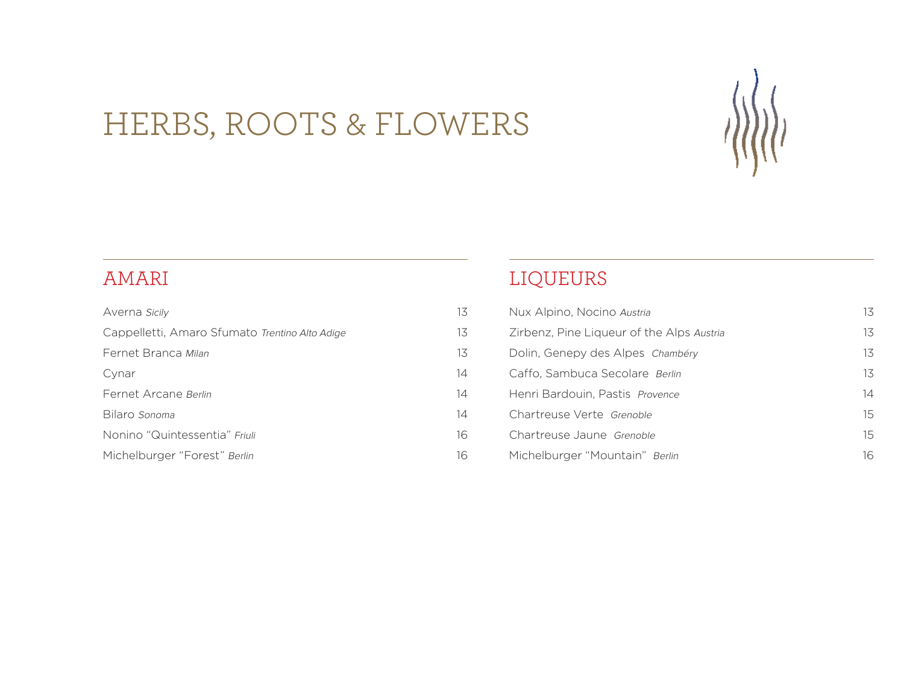# HERBS, ROOTS & FLOWERS



### AMARI

| Averna Sicily                                  | 13 |
|------------------------------------------------|----|
| Cappelletti, Amaro Sfumato Trentino Alto Adige | 13 |
| Fernet Branca Milan                            | 13 |
| Cynar                                          | 14 |
| Fernet Arcane Berlin                           | 14 |
| Bilaro Sonoma                                  | 14 |
| Nonino "Quintessentia" Friuli                  | 16 |
| Michelburger "Forest" Berlin                   | 16 |

### LIQUEURS

| Nux Alpino, Nocino Austria                | 13 |
|-------------------------------------------|----|
| Zirbenz, Pine Liqueur of the Alps Austria | 13 |
| Dolin, Genepy des Alpes Chambéry          | 13 |
| Caffo, Sambuca Secolare Berlin            | 13 |
| Henri Bardouin, Pastis Provence           | 14 |
| Chartreuse Verte Grenoble                 | 15 |
| Chartreuse Jaune Grenoble                 | 15 |
| Michelburger "Mountain" Berlin            | 16 |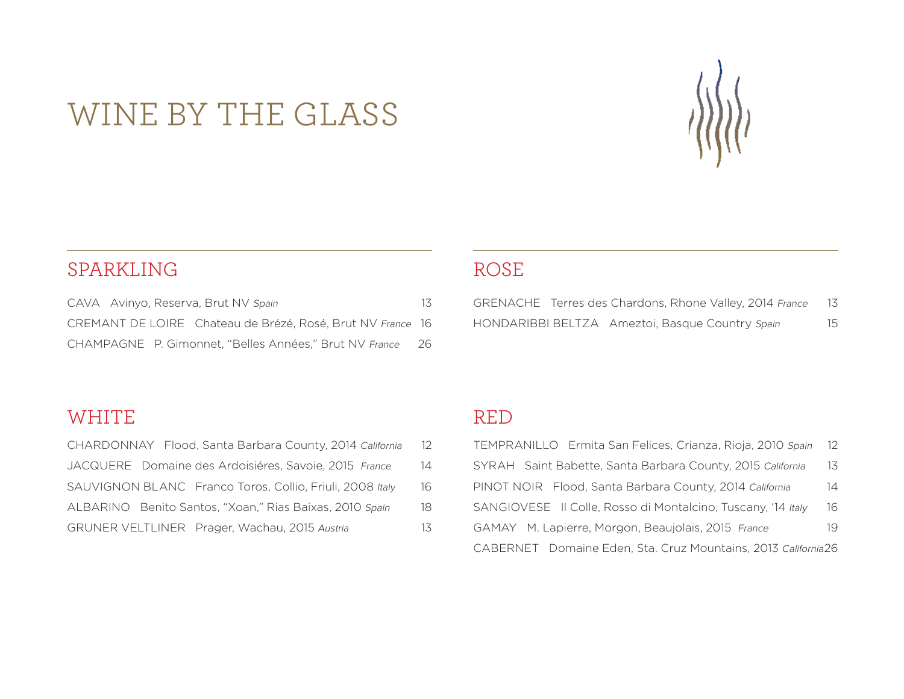# WINE BY THE GLASS



### SPARKLING

| CAVA Avinyo, Reserva, Brut NV Spain                        | 13  |
|------------------------------------------------------------|-----|
| CREMANT DE LOIRE Chateau de Brézé, Rosé, Brut NV France 16 |     |
| CHAMPAGNE P. Gimonnet. "Belles Années." Brut NV France     | -26 |

### ROSE

|  | GRENACHE Terres des Chardons, Rhone Valley, 2014 France | 13 |
|--|---------------------------------------------------------|----|
|  | HONDARIBBI BELTZA Ameztoi, Basque Country Spain         | 15 |

### WHITE

| CHARDONNAY Flood, Santa Barbara County, 2014 California  | 12 |
|----------------------------------------------------------|----|
| JACQUERE Domaine des Ardoisiéres, Savoie, 2015 France    | 14 |
| SAUVIGNON BLANC Franco Toros, Collio, Friuli, 2008 Italy | 16 |
| ALBARINO Benito Santos, "Xoan," Rias Baixas, 2010 Spain  | 18 |
| GRUNER VELTLINER Prager, Wachau, 2015 Austria            | 13 |

### RED

| TEMPRANILLO Ermita San Felices, Crianza, Rioja, 2010 Spain    | 12 |
|---------------------------------------------------------------|----|
| SYRAH Saint Babette, Santa Barbara County, 2015 California    | 13 |
| PINOT NOIR Flood, Santa Barbara County, 2014 California       | 14 |
| SANGIOVESE Il Colle, Rosso di Montalcino, Tuscany, '14 Italy  | 16 |
| GAMAY M. Lapierre, Morgon, Beaujolais, 2015 France            | 19 |
| CABERNET Domaine Eden, Sta. Cruz Mountains, 2013 California26 |    |